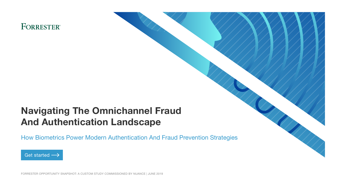## <span id="page-0-0"></span>**FORRESTER®**

## Navigating The Omnichannel Fraud And Authentication Landscape

How Biometrics Power Modern Authentication And Fraud Prevention Strategies



FORRESTER OPPORTUNITY SNAPSHOT: A CUSTOM STUDY COMMISSIONED BY NUANCE | JUNE 2019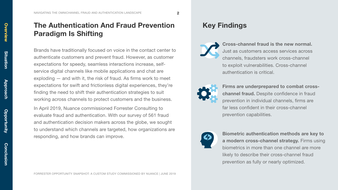<span id="page-1-0"></span>[NAVIGATING THE OMNICHANNEL FRAUD AND AUTHENTICATION LANDSCAPE](#page-0-0)  $\overline{\mathbf{2}}$ 

## The Authentication And Fraud Prevention Paradigm Is Shifting

Brands have traditionally focused on voice in the contact center to authenticate customers and prevent fraud. However, as customer expectations for speedy, seamless interactions increase, selfservice digital channels like mobile applications and chat are exploding — and with it, the risk of fraud. As firms work to meet expectations for swift and frictionless digital experiences, they're finding the need to shift their authentication strategies to suit working across channels to protect customers and the business.

In April 2019, Nuance commissioned Forrester Consulting to evaluate fraud and authentication. With our survey of 561 fraud and authentication decision makers across the globe, we sought to understand which channels are targeted, how organizations are responding, and how brands can improve.

#### Key Findings

Cross-channel fraud is the new normal. Just as customers access services across channels, fraudsters work cross-channel to exploit vulnerabilities. Cross-channel authentication is critical.



Firms are underprepared to combat crosschannel fraud. Despite confidence in fraud prevention in individual channels, firms are far less confident in their cross-channel prevention capabilities.



Biometric authentication methods are key to a modern cross-channel strategy. Firms using biometrics in more than one channel are more likely to describe their cross-channel fraud prevention as fully or nearly optimized.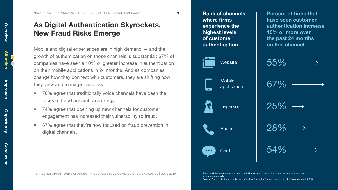<span id="page-2-0"></span>[NAVIGATING THE OMNICHANNEL FRAUD AND AUTHENTICATION LANDSCAPE](#page-0-0) 3

#### As Digital Authentication Skyrockets, New Fraud Risks Emerge

Mobile and digital experiences are in high demand — and the growth of authentication on those channels is substantial: 67% of companies have seen a 10% or greater increase in authentication on their mobile applications in 24 months. And as companies change how they connect with customers, they are shifting how they view and manage fraud risk:

- 70% agree that traditionally voice channels have been the focus of fraud prevention strategy.
- 74% agree that opening up new channels for customer engagement has increased their vulnerability to fraud.
- 87% agree that they're now focused on fraud prevention in digital channels.







FORRESTER OPPORTUNITY SNAPSHOT: A CUSTOM STUDY COMMISSIONED BY NUANCE | JUNE 2019

Base: Variable executives with responsibility for fraud prevention and customer authentication at companies globally

Source: A commissioned study conducted by Forrester Consulting on behalf of Nuance, April 2019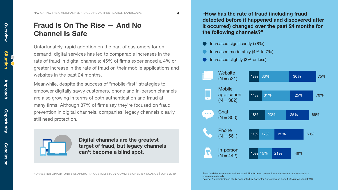[NAVIGATING THE OMNICHANNEL FRAUD AND AUTHENTICATION LANDSCAPE](#page-0-0) 4

#### Fraud Is On The Rise — And No Channel Is Safe

Unfortunately, rapid adoption on the part of customers for ondemand, digital services has led to comparable increases in the rate of fraud in digital channels: 45% of firms experienced a 4% or greater increase in the rate of fraud on their mobile applications and websites in the past 24 months.

Meanwhile, despite the success of "mobile-first" strategies to empower digitally savvy customers, phone and in-person channels are also growing in terms of both authentication and fraud at many firms. Although 87% of firms say they're focused on fraud prevention in digital channels, companies' legacy channels clearly still need protection.



Digital channels are the greatest target of fraud, but legacy channels can't become a blind spot.

"How has the rate of fraud (including fraud detected before it happened and discovered after it occurred) changed over the past 24 months for the following channels?"

- Increased significantly (>8%)
- Increased moderately (4% to 7%)
- Increased slightly (3% or less)



Base: Variable executives with responsibility for fraud prevention and customer authentication at companies globally

FORRESTER OPPORTUNITY SNAPSHOT: A CUSTOM STUDY COMMISSIONED BY NUANCE | JUNE 2019

Source: A commissioned study conducted by Forrester Consulting on behalf of Nuance, April 2019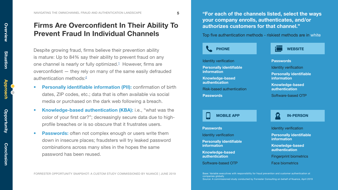## <span id="page-4-0"></span>Firms Are Overconfident In Their Ability To Prevent Fraud In Individual Channels

Despite growing fraud, firms believe their prevention ability is mature: Up to 84% say their ability to prevent fraud on any one channel is nearly or fully optimized. $1$  However, firms are overconfident — they rely on many of the same easily defrauded authentication methods:[2](#page-9-0)

- Personally identifiable information (PII): confirmation of birth dates, ZIP codes, etc.; data that is often available via social media or purchased on the dark web following a breach.
- Knowledge-based authentication (KBA): i.e., "what was the color of your first car?"; decreasingly secure data due to highprofile breaches or is so obscure that it frustrates users.
- Passwords: often not complex enough or users write them down in insecure places; fraudsters will try leaked password combinations across many sites in the hopes the same password has been reused.

"For each of the channels listed, select the ways your company enrolls, authenticates, and/or authorizes customers for that channel."

Top five authentication methods - riskiest methods are in white

**PHONE** 



Identity verification

Personally identifiable information

Knowledge-based authentication

Risk-based authentication

**Passwords** 

Passwords

Identity verification

Personally identifiable information

Knowledge-based authentication

Software-based OTP



#### MOBILE APP **IN-PERSON**

**Passwords** 

Identity verification

Personally identifiable information

Knowledge-based authentication

Software-based OTP

Identity verification

Personally identifiable information

Knowledge-based authentication

Fingerprint biometrics

Face biometrics

Base: Variable executives with responsibility for fraud prevention and customer authentication at companies globally Source: A commissioned study conducted by Forrester Consulting on behalf of Nuance, April 2019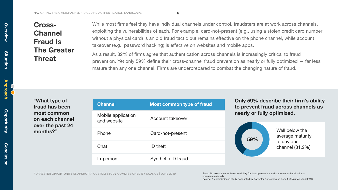## Cross-**Channel** Fraud Is The Greater **Threat**

While most firms feel they have individual channels under control, fraudsters are at work across channels, exploiting the vulnerabilities of each. For example, card-not-present (e.g., using a stolen credit card number without a physical card) is an old fraud tactic but remains effective on the phone channel, while account takeover (e.g., password hacking) is effective on websites and mobile apps.

As a result, 82% of firms agree that authentication across channels is increasingly critical to fraud prevention. Yet only 59% define their cross-channel fraud prevention as nearly or fully optimized — far less mature than any one channel. Firms are underprepared to combat the changing nature of fraud.

"What type of fraud has been most common on each channel over the past 24 months?"

| <b>Channel</b>                    | <b>Most common type of fraud</b> |
|-----------------------------------|----------------------------------|
| Mobile application<br>and website | Account takeover                 |
| Phone                             | Card-not-present                 |
| Chat                              | ID theft                         |
| In-person                         | Synthetic ID fraud               |

Only 59% describe their firm's ability to prevent fraud across channels as nearly or fully optimized.



[Overview](#page-1-0)

Overview

[Situation](#page-2-0)

**Situation** 

[Approach](#page-4-0)

Approa

Base: 561 executives with responsibility for fraud prevention and customer authentication at companies globally Source: A commissioned study conducted by Forrester Consulting on behalf of Nuance, April 2019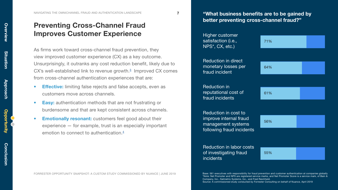<span id="page-6-0"></span>[NAVIGATING THE OMNICHANNEL FRAUD AND AUTHENTICATION LANDSCAPE](#page-0-0) 7

#### Preventing Cross-Channel Fraud Improves Customer Experience

As firms work toward cross-channel fraud prevention, they view improved customer experience (CX) as a key outcome. Unsurprisingly, it outranks any cost reduction benefit, likely due to  $CX$ 's well-established link to revenue growth. $3$  Improved CX comes from cross-channel authentication experiences that are:

- Effective: limiting false rejects and false accepts, even as customers move across channels.
- Easy: authentication methods that are not frustrating or burdensome and that are kept consistent across channels.
- Emotionally resonant: customers feel good about their experience — for example, trust is an especially important emotion to connect to authentication.<sup>4</sup>

"What business benefits are to be gained by better preventing cross-channel fraud?"

Higher customer satisfaction (i.e., NPS\*, CX, etc.) Reduction in direct monetary losses per fraud incident Reduction in reputational cost of fraud incidents Reduction in cost to improve internal fraud management systems following fraud incidents Reduction in labor costs of investigating fraud incidents 71% 64% 61% 56% 55%

FORRESTER OPPORTUNITY SNAPSHOT: A CUSTOM STUDY COMMISSIONED BY NUANCE | JUNE 2019

Base: 561 executives with responsibility for fraud prevention and customer authentication at companies globally \*Note: Net Promoter and NPS are registered service marks, and Net Promoter Score is a service mark, of Bain & Company, Inc., Satmetrix Systems, Inc., and Fred Reichheld.

Source: A commissioned study conducted by Forrester Consulting on behalf of Nuance, April 2019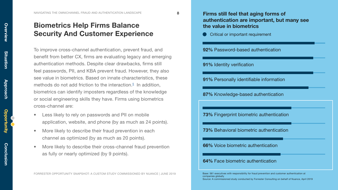#### Biometrics Help Firms Balance the value in biometrics Security And Customer Experience

To improve cross-channel authentication, prevent fraud, and benefit from better CX, firms are evaluating legacy and emerging authentication methods. Despite clear drawbacks, firms still feel passwords, PII, and KBA prevent fraud. However, they also see value in biometrics. Based on innate characteristics, these methods do not add friction to the interaction.<sup>5</sup> In addition, biometrics can identify imposters regardless of the knowledge or social engineering skills they have. Firms using biometrics cross-channel are:

- Less likely to rely on passwords and PII on mobile application, website, and phone (by as much as 24 points).
- More likely to describe their fraud prevention in each channel as optimized (by as much as 20 points).
- More likely to describe their cross-channel fraud prevention as fully or nearly optimized (by 9 points).

#### FORRESTER OPPORTUNITY SNAPSHOT: A CUSTOM STUDY COMMISSIONED BY NUANCE | JUNE 2019



[Overview](#page-1-0)

<span id="page-7-0"></span>Overview

[Situation](#page-2-0)

**Situation**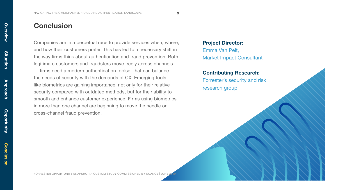#### <span id="page-8-0"></span>**Conclusion**

Companies are in a perpetual race to provide services when, where, and how their customers prefer. This has led to a necessary shift in the way firms think about authentication and fraud prevention. Both legitimate customers and fraudsters move freely across channels — firms need a modern authentication toolset that can balance the needs of security with the demands of CX. Emerging tools like biometrics are gaining importance, not only for their relative security compared with outdated methods, but for their ability to smooth and enhance customer experience. Firms using biometrics in more than one channel are beginning to move the needle on cross-channel fraud prevention.

#### Project Director: Emma Van Pelt, Market Impact Consultant

Contributing Research:

Forrester's security and risk research group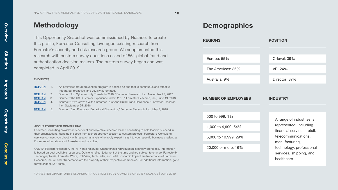#### <span id="page-9-0"></span>Methodology

This Opportunity Snapshot was commissioned by Nuance. To create this profile, Forrester Consulting leveraged existing research from Forrester's security and risk research group. We supplemented this research with custom survey questions asked of 561 global fraud and authentication decision makers. The custom survey began and was completed in April 2019.

#### ENDNOTES

| <b>RETURN</b> |    | An optimized fraud prevention program is defined as one that is continuous and effective,<br>integrated, proactive, and usually automated. |
|---------------|----|--------------------------------------------------------------------------------------------------------------------------------------------|
| <b>RETURN</b> | 2. | Source: "Top Cybersecurity Threats In 2018," Forrester Research, Inc., November 27, 2017.                                                  |
| <b>RETURN</b> | 3. | Source: "The US Customer Experience Index, 2018," Forrester Research, Inc., June 19, 2018.                                                 |
| <b>RETURN</b> | 4. | Source: "Drive Growth With Customer Trust And Build Brand Resilience." Forrester Research.<br>Inc., September 25, 2018.                    |
| <b>RETURN</b> | 5. | Source: "Best Practices: Behavioral Biometrics." Forrester Research, Inc., May 5, 2018.                                                    |

#### ABOUT FORRESTER CONSULTING

Forrester Consulting provides independent and objective research-based consulting to help leaders succeed in their organizations. Ranging in scope from a short strategy session to custom projects, Forrester's Consulting services connect you directly with research analysts who apply expert insight to your specific business challenges. For more information, visit forrester.com/consulting.

© 2019, Forrester Research, Inc. All rights reserved. Unauthorized reproduction is strictly prohibited. Information is based on best available resources. Opinions reflect judgment at the time and are subject to change. Forrester®, Technographics®, Forrester Wave, RoleView, TechRadar, and Total Economic Impact are trademarks of Forrester Research, Inc. All other trademarks are the property of their respective companies. For additional information, go to forrester.com. [A-178499]

#### **Demographics**

| <b>REGIONS</b>             | <b>POSITION</b>                                                                   |
|----------------------------|-----------------------------------------------------------------------------------|
|                            |                                                                                   |
| Europe: 55%                | C-level: 39%                                                                      |
| The Americas: 36%          | VP: 24%                                                                           |
| Australia: 9%              | Director: 37%                                                                     |
|                            |                                                                                   |
| <b>NUMBER OF EMPLOYEES</b> | <b>INDUSTRY</b>                                                                   |
| 500 to 999: 1%             |                                                                                   |
| 1,000 to 4,999: 54%        | A range of industries is<br>represented, including<br>financial services, retail, |
| 5,000 to 19,999: 29%       | telecommunications,<br>manufacturing,                                             |